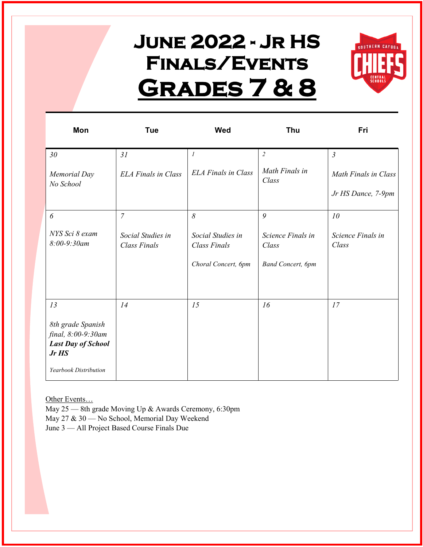## **June 2022 - Jr HS Finals/Events Grades 7 & 8**



| Mon                                                                                                          | <b>Tue</b>                               | Wed                                                      | Thu                                                     | Fri                        |
|--------------------------------------------------------------------------------------------------------------|------------------------------------------|----------------------------------------------------------|---------------------------------------------------------|----------------------------|
| 30 <sub>o</sub>                                                                                              | 31                                       | $\mathfrak l$                                            | $\sqrt{2}$                                              | $\mathfrak{Z}$             |
| <b>Memorial Day</b><br>No School                                                                             | <b>ELA Finals in Class</b>               | <b>ELA Finals in Class</b>                               | Math Finals in<br>Class                                 | Math Finals in Class       |
|                                                                                                              |                                          |                                                          |                                                         | Jr HS Dance, 7-9pm         |
| 6                                                                                                            | $\overline{7}$                           | $\delta$                                                 | 9                                                       | 10                         |
| NYS Sci 8 exam<br>$8:00 - 9:30$ am                                                                           | Social Studies in<br><b>Class Finals</b> | Social Studies in<br>Class Finals<br>Choral Concert, 6pm | Science Finals in<br>Class<br><b>Band Concert</b> , 6pm | Science Finals in<br>Class |
| 13<br>8th grade Spanish<br>final, 8:00-9:30am<br><b>Last Day of School</b><br>Jr HS<br>Yearbook Distribution | 14                                       | 15                                                       | 16                                                      | 17                         |

Other Events…

May 25 — 8th grade Moving Up & Awards Ceremony, 6:30pm May 27 & 30 — No School, Memorial Day Weekend

June 3 — All Project Based Course Finals Due